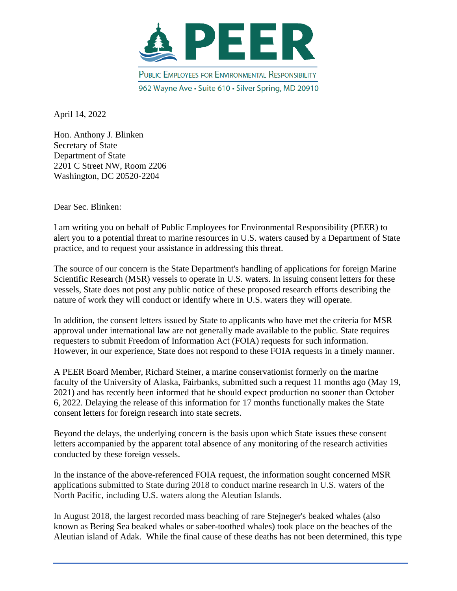

April 14, 2022

Hon. Anthony J. Blinken Secretary of State Department of State 2201 C Street NW, Room 2206 Washington, DC 20520-2204

Dear Sec. Blinken:

I am writing you on behalf of Public Employees for Environmental Responsibility (PEER) to alert you to a potential threat to marine resources in U.S. waters caused by a Department of State practice, and to request your assistance in addressing this threat.

The source of our concern is the State Department's handling of applications for foreign Marine Scientific Research (MSR) vessels to operate in U.S. waters. In issuing consent letters for these vessels, State does not post any public notice of these proposed research efforts describing the nature of work they will conduct or identify where in U.S. waters they will operate.

In addition, the consent letters issued by State to applicants who have met the criteria for MSR approval under international law are not generally made available to the public. State requires requesters to submit Freedom of Information Act (FOIA) requests for such information. However, in our experience, State does not respond to these FOIA requests in a timely manner.

A PEER Board Member, Richard Steiner, a marine conservationist formerly on the marine faculty of the University of Alaska, Fairbanks, submitted such a request 11 months ago (May 19, 2021) and has recently been informed that he should expect production no sooner than October 6, 2022. Delaying the release of this information for 17 months functionally makes the State consent letters for foreign research into state secrets.

Beyond the delays, the underlying concern is the basis upon which State issues these consent letters accompanied by the apparent total absence of any monitoring of the research activities conducted by these foreign vessels.

In the instance of the above-referenced FOIA request, the information sought concerned MSR applications submitted to State during 2018 to conduct marine research in U.S. waters of the North Pacific, including U.S. waters along the Aleutian Islands.

In August 2018, the largest recorded mass beaching of rare Stejneger's beaked whales (also known as Bering Sea beaked whales or saber-toothed whales) took place on the beaches of the Aleutian island of Adak. While the final cause of these deaths has not been determined, this type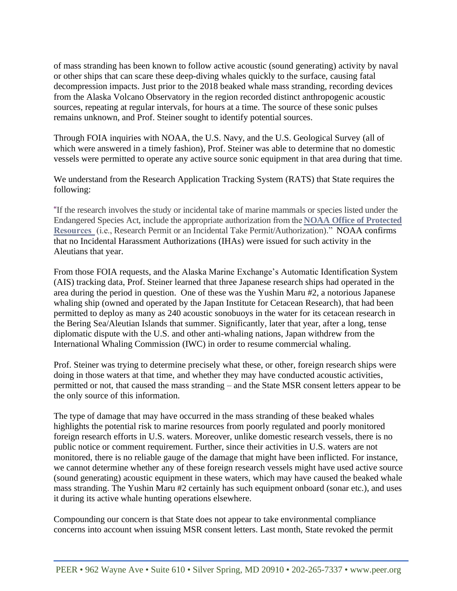of mass stranding has been known to follow active acoustic (sound generating) activity by naval or other ships that can scare these deep-diving whales quickly to the surface, causing fatal decompression impacts. Just prior to the 2018 beaked whale mass stranding, recording devices from the Alaska Volcano Observatory in the region recorded distinct anthropogenic acoustic sources, repeating at regular intervals, for hours at a time. The source of these sonic pulses remains unknown, and Prof. Steiner sought to identify potential sources.

Through FOIA inquiries with NOAA, the U.S. Navy, and the U.S. Geological Survey (all of which were answered in a timely fashion), Prof. Steiner was able to determine that no domestic vessels were permitted to operate any active source sonic equipment in that area during that time.

We understand from the Research Application Tracking System (RATS) that State requires the following:

"If the research involves the study or incidental take of marine mammals or species listed under the Endangered Species Act, include the appropriate authorization from the **NOAA Office of [Protected](http://www.nmfs.noaa.gov/pr/permits/) [Resources](http://www.nmfs.noaa.gov/pr/permits/)** (i.e., Research Permit or an Incidental Take Permit/Authorization)." NOAA confirms that no Incidental Harassment Authorizations (IHAs) were issued for such activity in the Aleutians that year.

From those FOIA requests, and the Alaska Marine Exchange's Automatic Identification System (AIS) tracking data, Prof. Steiner learned that three Japanese research ships had operated in the area during the period in question. One of these was the Yushin Maru #2, a notorious Japanese whaling ship (owned and operated by the Japan Institute for Cetacean Research), that had been permitted to deploy as many as 240 acoustic sonobuoys in the water for its cetacean research in the Bering Sea/Aleutian Islands that summer. Significantly, later that year, after a long, tense diplomatic dispute with the U.S. and other anti-whaling nations, Japan withdrew from the International Whaling Commission (IWC) in order to resume commercial whaling.

Prof. Steiner was trying to determine precisely what these, or other, foreign research ships were doing in those waters at that time, and whether they may have conducted acoustic activities, permitted or not, that caused the mass stranding – and the State MSR consent letters appear to be the only source of this information.

The type of damage that may have occurred in the mass stranding of these beaked whales highlights the potential risk to marine resources from poorly regulated and poorly monitored foreign research efforts in U.S. waters. Moreover, unlike domestic research vessels, there is no public notice or comment requirement. Further, since their activities in U.S. waters are not monitored, there is no reliable gauge of the damage that might have been inflicted. For instance, we cannot determine whether any of these foreign research vessels might have used active source (sound generating) acoustic equipment in these waters, which may have caused the beaked whale mass stranding. The Yushin Maru #2 certainly has such equipment onboard (sonar etc.), and uses it during its active whale hunting operations elsewhere.

Compounding our concern is that State does not appear to take environmental compliance concerns into account when issuing MSR consent letters. Last month, State revoked the permit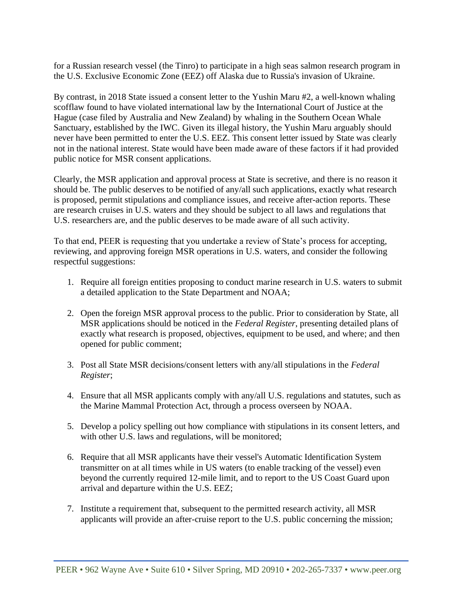for a Russian research vessel (the Tinro) to participate in a high seas salmon research program in the U.S. Exclusive Economic Zone (EEZ) off Alaska due to Russia's invasion of Ukraine.

By contrast, in 2018 State issued a consent letter to the Yushin Maru #2, a well-known whaling scofflaw found to have violated international law by the International Court of Justice at the Hague (case filed by Australia and New Zealand) by whaling in the Southern Ocean Whale Sanctuary, established by the IWC. Given its illegal history, the Yushin Maru arguably should never have been permitted to enter the U.S. EEZ. This consent letter issued by State was clearly not in the national interest. State would have been made aware of these factors if it had provided public notice for MSR consent applications.

Clearly, the MSR application and approval process at State is secretive, and there is no reason it should be. The public deserves to be notified of any/all such applications, exactly what research is proposed, permit stipulations and compliance issues, and receive after-action reports. These are research cruises in U.S. waters and they should be subject to all laws and regulations that U.S. researchers are, and the public deserves to be made aware of all such activity.

To that end, PEER is requesting that you undertake a review of State's process for accepting, reviewing, and approving foreign MSR operations in U.S. waters, and consider the following respectful suggestions:

- 1. Require all foreign entities proposing to conduct marine research in U.S. waters to submit a detailed application to the State Department and NOAA;
- 2. Open the foreign MSR approval process to the public. Prior to consideration by State, all MSR applications should be noticed in the *Federal Register*, presenting detailed plans of exactly what research is proposed, objectives, equipment to be used, and where; and then opened for public comment;
- 3. Post all State MSR decisions/consent letters with any/all stipulations in the *Federal Register*;
- 4. Ensure that all MSR applicants comply with any/all U.S. regulations and statutes, such as the Marine Mammal Protection Act, through a process overseen by NOAA.
- 5. Develop a policy spelling out how compliance with stipulations in its consent letters, and with other U.S. laws and regulations, will be monitored;
- 6. Require that all MSR applicants have their vessel's Automatic Identification System transmitter on at all times while in US waters (to enable tracking of the vessel) even beyond the currently required 12-mile limit, and to report to the US Coast Guard upon arrival and departure within the U.S. EEZ;
- 7. Institute a requirement that, subsequent to the permitted research activity, all MSR applicants will provide an after-cruise report to the U.S. public concerning the mission;